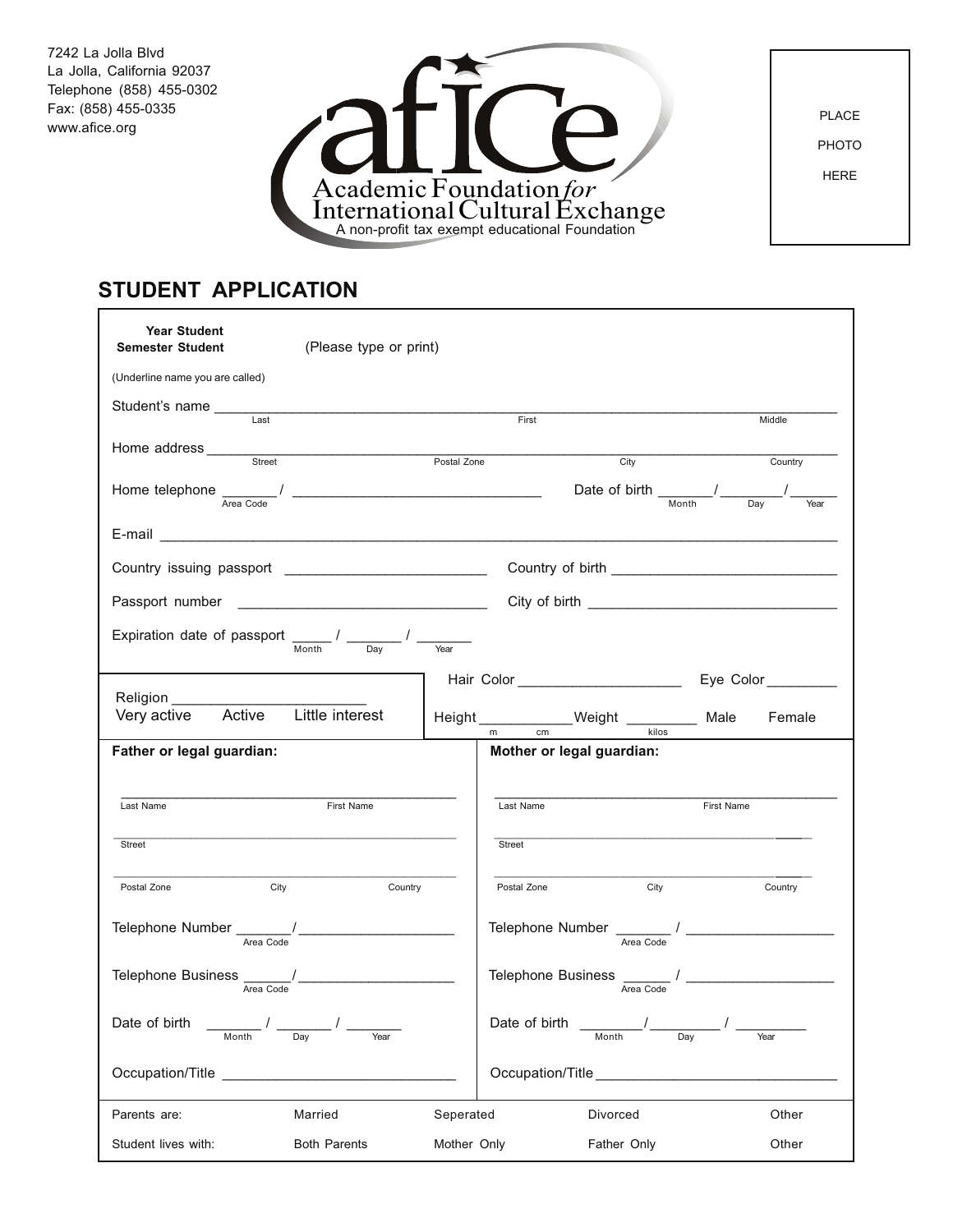7242 La Jolla Blvd La Jolla, California 92037 Telephone (858) 455-0302 Fax: (858) 455-0335 www.afice.org



PLACE PHOTO HERE

## **STUDENT APPLICATION**

| <b>Year Student</b><br><b>Semester Student</b>                                                          | (Please type or print)                            |             |                           |                                                                                     |            |         |
|---------------------------------------------------------------------------------------------------------|---------------------------------------------------|-------------|---------------------------|-------------------------------------------------------------------------------------|------------|---------|
| (Underline name you are called)                                                                         |                                                   |             |                           |                                                                                     |            |         |
| Student's name _______<br>$\overline{Last}$                                                             | <u> 1980 - Johann Barbara, martxa alemaniar a</u> |             | First                     |                                                                                     |            | Middle  |
|                                                                                                         |                                                   |             |                           |                                                                                     |            |         |
| Home address <u>serves</u>                                                                              |                                                   | Postal Zone |                           | City                                                                                |            | Country |
| Home telephone $\frac{1}{\text{Area Code}}$ $\frac{1}{\text{Total Code}}$                               |                                                   |             |                           | Date of birth $\frac{1}{\frac{1}{\text{Month}}}$ / $\frac{1}{\frac{1}{\text{Day}}}$ |            |         |
|                                                                                                         |                                                   |             |                           |                                                                                     |            |         |
|                                                                                                         |                                                   |             |                           |                                                                                     |            |         |
|                                                                                                         |                                                   |             |                           |                                                                                     |            |         |
| Expiration date of passport $\frac{1}{\text{Month}}$ / $\frac{1}{\text{Day}}$ / $\frac{1}{\text{Year}}$ |                                                   |             |                           |                                                                                     |            |         |
|                                                                                                         |                                                   |             |                           |                                                                                     |            |         |
| Very active Active Little interest                                                                      |                                                   |             |                           |                                                                                     |            | Female  |
| Father or legal guardian:                                                                               |                                                   |             | Mother or legal guardian: |                                                                                     |            |         |
| Last Name                                                                                               | First Name                                        |             | Last Name                 |                                                                                     | First Name |         |
| Street                                                                                                  |                                                   |             | Street                    |                                                                                     |            |         |
| Postal Zone                                                                                             | City<br>Country                                   |             | Postal Zone               | City                                                                                |            | Country |
| Telephone Number $\frac{1}{\frac{Area\,\,Code}{Area\,\,Code}}$                                          |                                                   |             |                           |                                                                                     |            |         |
|                                                                                                         |                                                   |             |                           |                                                                                     |            |         |
| Date of birth                                                                                           | Dav<br>Year                                       |             | Date of birth             |                                                                                     | Dav        | Year    |
| Occupation/Title <b>Example 2018</b>                                                                    |                                                   |             | Occupation/Title          |                                                                                     |            |         |
| Parents are:                                                                                            | Married                                           | Seperated   |                           | Divorced                                                                            |            | Other   |
| Student lives with:                                                                                     | <b>Both Parents</b>                               | Mother Only |                           | Father Only                                                                         |            | Other   |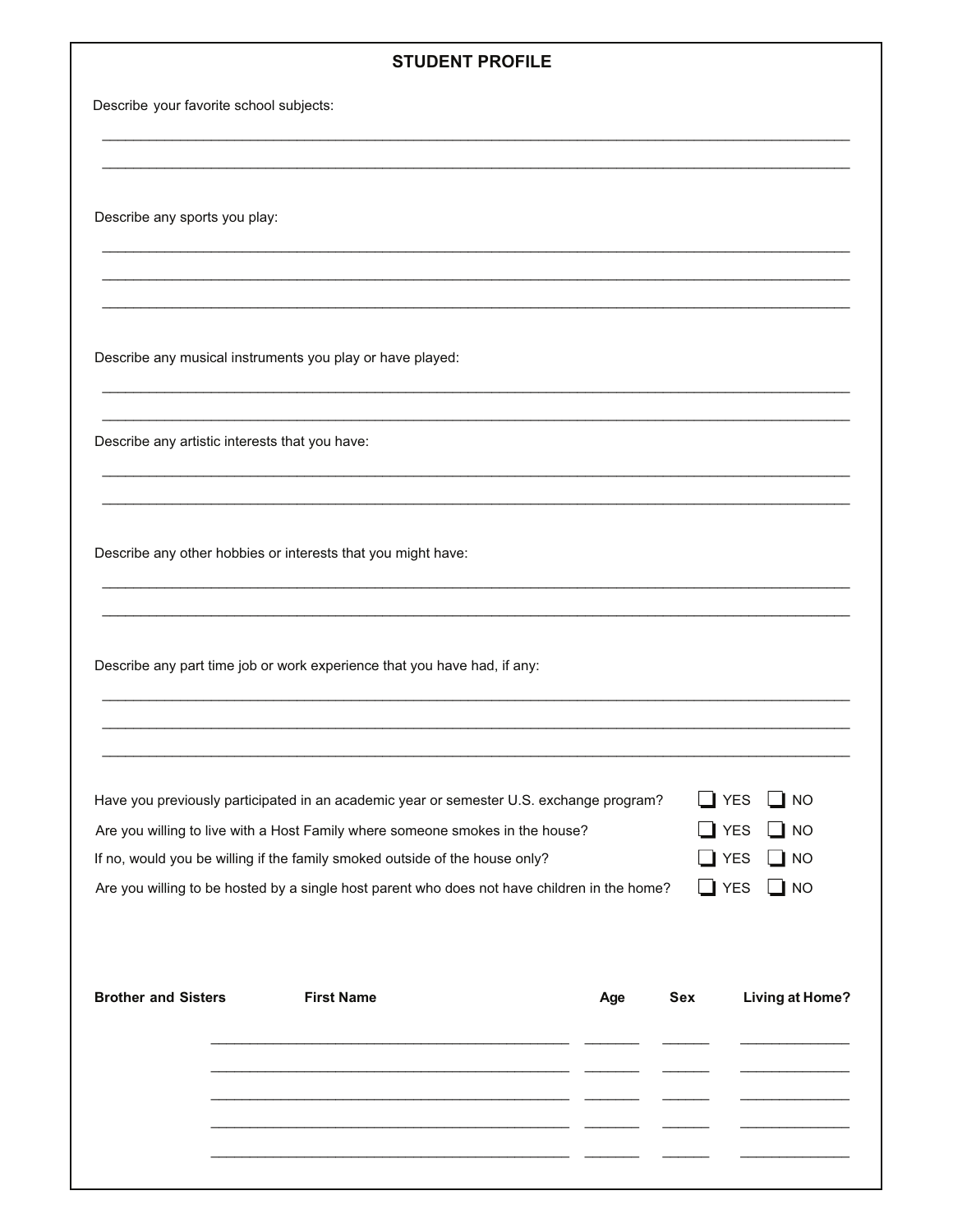## **STUDENT PROFILE**

Describe your favorite school subjects:

Describe any sports you play:

Describe any musical instruments you play or have played:

Describe any artistic interests that you have:

Describe any other hobbies or interests that you might have:

Describe any part time job or work experience that you have had, if any:

| Have you previously participated in an academic year or semester U.S. exchange program?      | $\Box$ YES $\Box$ NO |
|----------------------------------------------------------------------------------------------|----------------------|
| Are you willing to live with a Host Family where someone smokes in the house?                | $\Box$ YES $\Box$ NO |
| If no, would you be willing if the family smoked outside of the house only?                  | $\Box$ YES $\Box$ NO |
| Are you willing to be hosted by a single host parent who does not have children in the home? | $\Box$ YES $\Box$ NO |

| <b>Brother and Sisters</b> | <b>First Name</b> | Age | Sex | <b>Living at Home?</b> |
|----------------------------|-------------------|-----|-----|------------------------|
|                            |                   |     |     |                        |
|                            |                   |     |     |                        |
|                            |                   |     |     |                        |
|                            |                   |     |     |                        |
|                            |                   |     |     |                        |
|                            |                   |     |     |                        |
|                            |                   |     |     |                        |